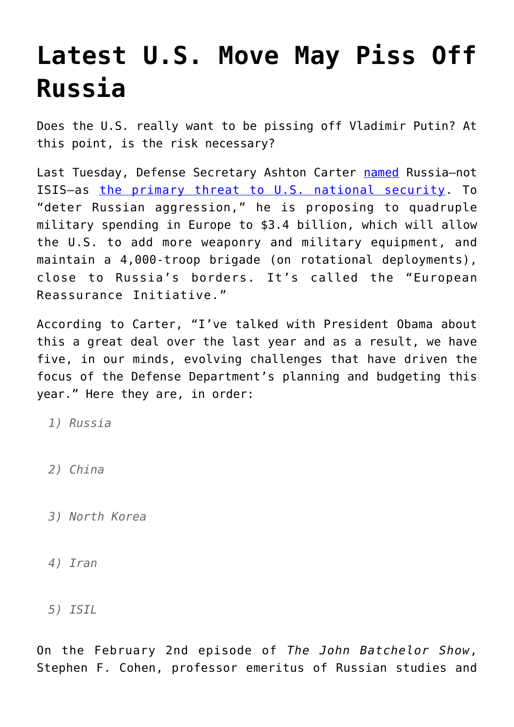## **[Latest U.S. Move May Piss Off](https://intellectualtakeout.org/2016/02/latest-u-s-move-may-piss-off-russia/) [Russia](https://intellectualtakeout.org/2016/02/latest-u-s-move-may-piss-off-russia/)**

Does the U.S. really want to be pissing off Vladimir Putin? At this point, is the risk necessary?

Last Tuesday, Defense Secretary Ashton Carter [named](http://www.defense.gov/News/News-Transcripts/Transcript-View/Article/648901/remarks-by-secretary-carter-on-the-budget-at-the-economic-club-of-washington-dc) Russia-not ISIS—as [the primary threat to U.S. national security](http://www.nytimes.com/2016/02/03/opinion/the-pentagons-top-threat-russia.html). To "deter Russian aggression," he is proposing to quadruple military spending in Europe to \$3.4 billion, which will allow the U.S. to add more weaponry and military equipment, and maintain a 4,000-troop brigade (on rotational deployments), close to Russia's borders. It's called the "European Reassurance Initiative."

According to Carter, "I've talked with President Obama about this a great deal over the last year and as a result, we have five, in our minds, evolving challenges that have driven the focus of the Defense Department's planning and budgeting this year." Here they are, in order:

*1) Russia*

- *2) China*
- *3) North Korea*
- *4) Iran*
- *5) ISIL*

On the February 2nd episode of *The John Batchelor Show*, Stephen F. Cohen, professor emeritus of Russian studies and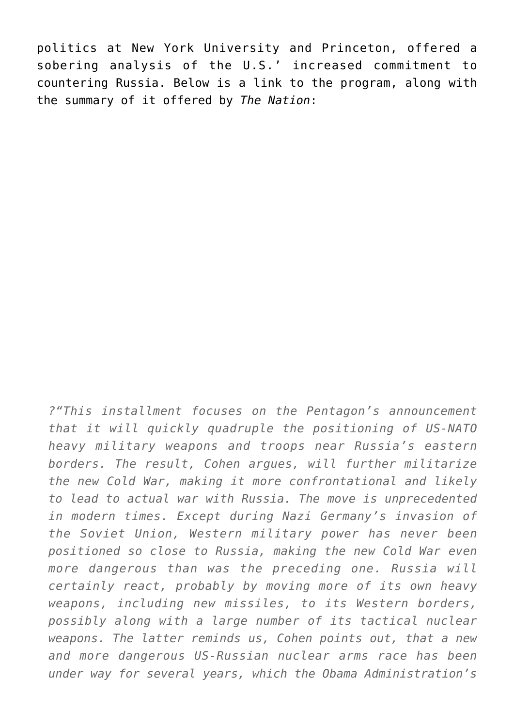politics at New York University and Princeton, offered a sobering analysis of the U.S.' increased commitment to countering Russia. Below is a link to the program, along with the summary of it offered by *The Nation*:

*?"This installment focuses on the Pentagon's announcement that it will quickly quadruple the positioning of US-NATO heavy military weapons and troops near Russia's eastern borders. The result, Cohen argues, will further militarize the new Cold War, making it more confrontational and likely to lead to actual war with Russia. The move is unprecedented in modern times. Except during Nazi Germany's invasion of the Soviet Union, Western military power has never been positioned so close to Russia, making the new Cold War even more dangerous than was the preceding one. Russia will certainly react, probably by moving more of its own heavy weapons, including new missiles, to its Western borders, possibly along with a large number of its tactical nuclear weapons. The latter reminds us, Cohen points out, that a new and more dangerous US-Russian nuclear arms race has been under way for several years, which the Obama Administration's*